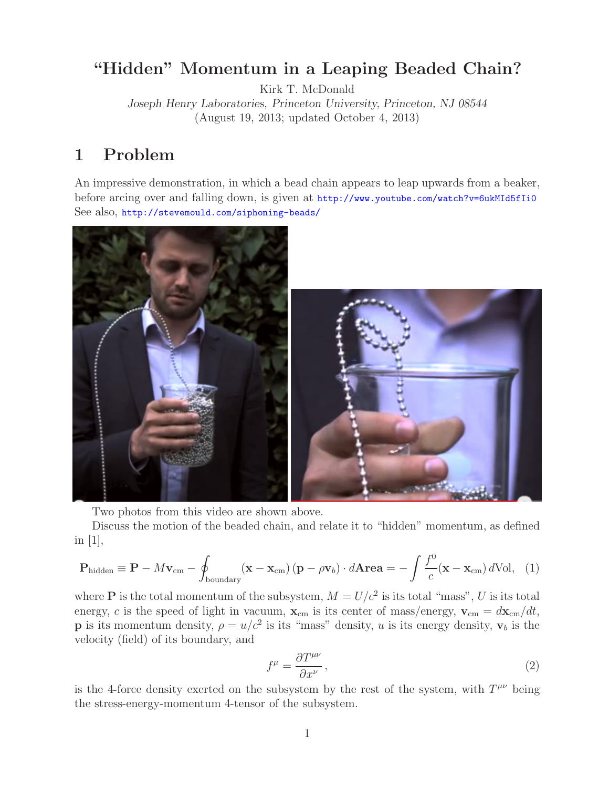## **"Hidden" Momentum in a Leaping Beaded Chain?**

Kirk T. McDonald

*Joseph Henry Laboratories, Princeton University, Princeton, NJ 08544* (August 19, 2013; updated October 4, 2013)

# **1 Problem**

An impressive demonstration, in which a bead chain appears to leap upwards from a beaker, before arcing over and falling down, is given at http://www.youtube.com/watch?v=6ukMId5fIi0 See also, http://stevemould.com/siphoning-beads/



Two photos from this video are shown above.

Discuss the motion of the beaded chain, and relate it to "hidden" momentum, as defined in [1],

$$
\mathbf{P}_{\text{hidden}} \equiv \mathbf{P} - M\mathbf{v}_{\text{cm}} - \oint_{\text{boundary}} (\mathbf{x} - \mathbf{x}_{\text{cm}}) (\mathbf{p} - \rho \mathbf{v}_b) \cdot d\mathbf{A} \mathbf{r} \mathbf{e} \mathbf{a} = -\int \frac{f^0}{c} (\mathbf{x} - \mathbf{x}_{\text{cm}}) d\text{Vol}, \quad (1)
$$

where **P** is the total momentum of the subsystem,  $M = U/c^2$  is its total "mass", U is its total energy, c is the speed of light in vacuum,  $\mathbf{x}_{cm}$  is its center of mass/energy,  $\mathbf{v}_{cm} = d\mathbf{x}_{cm}/dt$ , **p** is its momentum density,  $\rho = u/c^2$  is its "mass" density, u is its energy density,  $\mathbf{v}_b$  is the velocity (field) of its boundary, and

$$
f^{\mu} = \frac{\partial T^{\mu\nu}}{\partial x^{\nu}},\tag{2}
$$

is the 4-force density exerted on the subsystem by the rest of the system, with  $T^{\mu\nu}$  being the stress-energy-momentum 4-tensor of the subsystem.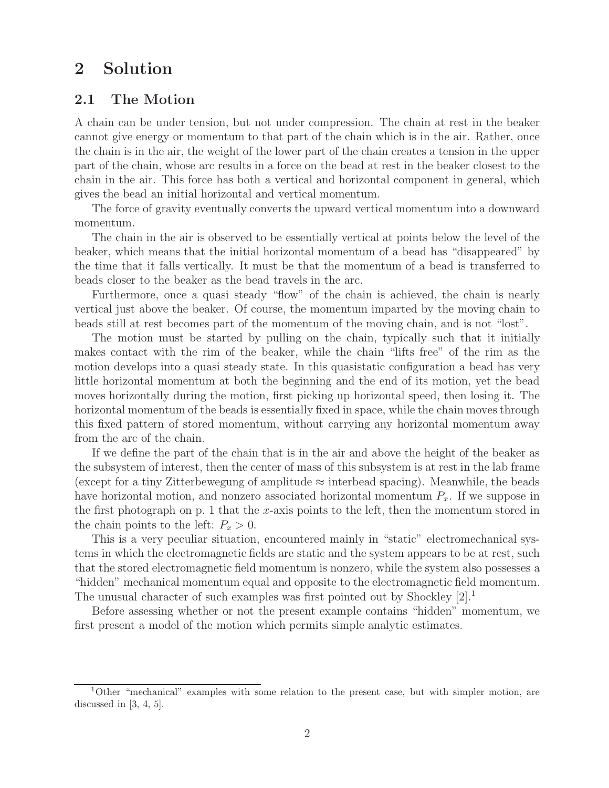## **2 Solution**

### **2.1 The Motion**

A chain can be under tension, but not under compression. The chain at rest in the beaker cannot give energy or momentum to that part of the chain which is in the air. Rather, once the chain is in the air, the weight of the lower part of the chain creates a tension in the upper part of the chain, whose arc results in a force on the bead at rest in the beaker closest to the chain in the air. This force has both a vertical and horizontal component in general, which gives the bead an initial horizontal and vertical momentum.

The force of gravity eventually converts the upward vertical momentum into a downward momentum.

The chain in the air is observed to be essentially vertical at points below the level of the beaker, which means that the initial horizontal momentum of a bead has "disappeared" by the time that it falls vertically. It must be that the momentum of a bead is transferred to beads closer to the beaker as the bead travels in the arc.

Furthermore, once a quasi steady "flow" of the chain is achieved, the chain is nearly vertical just above the beaker. Of course, the momentum imparted by the moving chain to beads still at rest becomes part of the momentum of the moving chain, and is not "lost".

The motion must be started by pulling on the chain, typically such that it initially makes contact with the rim of the beaker, while the chain "lifts free" of the rim as the motion develops into a quasi steady state. In this quasistatic configuration a bead has very little horizontal momentum at both the beginning and the end of its motion, yet the bead moves horizontally during the motion, first picking up horizontal speed, then losing it. The horizontal momentum of the beads is essentially fixed in space, while the chain moves through this fixed pattern of stored momentum, without carrying any horizontal momentum away from the arc of the chain.

If we define the part of the chain that is in the air and above the height of the beaker as the subsystem of interest, then the center of mass of this subsystem is at rest in the lab frame (except for a tiny Zitterbewegung of amplitude  $\approx$  interbead spacing). Meanwhile, the beads have horizontal motion, and nonzero associated horizontal momentum  $P_x$ . If we suppose in the first photograph on p. 1 that the x-axis points to the left, then the momentum stored in the chain points to the left:  $P_x > 0$ .

This is a very peculiar situation, encountered mainly in "static" electromechanical systems in which the electromagnetic fields are static and the system appears to be at rest, such that the stored electromagnetic field momentum is nonzero, while the system also possesses a "hidden" mechanical momentum equal and opposite to the electromagnetic field momentum. The unusual character of such examples was first pointed out by Shockley  $[2].<sup>1</sup>$ 

Before assessing whether or not the present example contains "hidden" momentum, we first present a model of the motion which permits simple analytic estimates.

<sup>1</sup>Other "mechanical" examples with some relation to the present case, but with simpler motion, are discussed in  $[3, 4, 5]$ .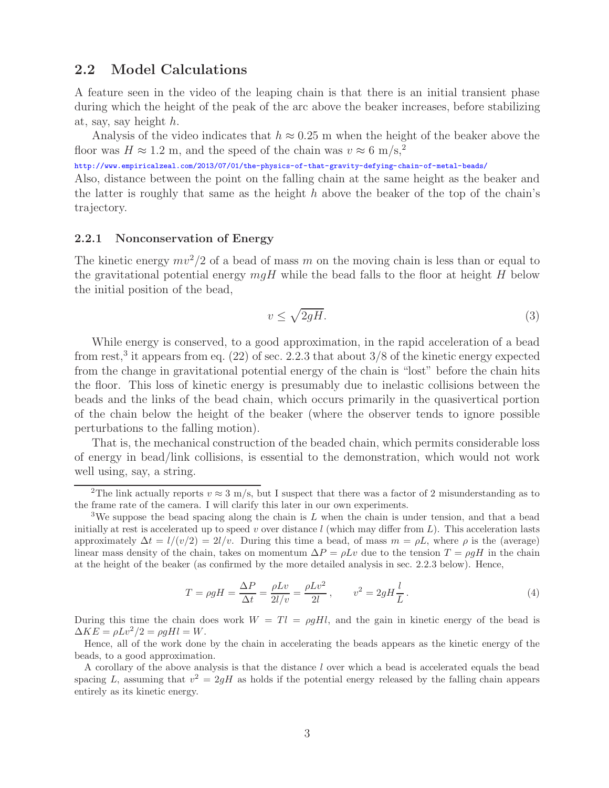### **2.2 Model Calculations**

A feature seen in the video of the leaping chain is that there is an initial transient phase during which the height of the peak of the arc above the beaker increases, before stabilizing at, say, say height h.

Analysis of the video indicates that  $h \approx 0.25$  m when the height of the beaker above the floor was  $H \approx 1.2$  m, and the speed of the chain was  $v \approx 6$  m/s,<sup>2</sup>

http://www.empiricalzeal.com/2013/07/01/the-physics-of-that-gravity-defying-chain-of-metal-beads/

Also, distance between the point on the falling chain at the same height as the beaker and the latter is roughly that same as the height h above the beaker of the top of the chain's trajectory.

#### **2.2.1 Nonconservation of Energy**

The kinetic energy  $mv^2/2$  of a bead of mass m on the moving chain is less than or equal to the gravitational potential energy  $mqH$  while the bead falls to the floor at height H below the initial position of the bead,

$$
v \le \sqrt{2gH}.\tag{3}
$$

While energy is conserved, to a good approximation, in the rapid acceleration of a bead from rest,<sup>3</sup> it appears from eq.  $(22)$  of sec. 2.2.3 that about  $3/8$  of the kinetic energy expected from the change in gravitational potential energy of the chain is "lost" before the chain hits the floor. This loss of kinetic energy is presumably due to inelastic collisions between the beads and the links of the bead chain, which occurs primarily in the quasivertical portion of the chain below the height of the beaker (where the observer tends to ignore possible perturbations to the falling motion).

That is, the mechanical construction of the beaded chain, which permits considerable loss of energy in bead/link collisions, is essential to the demonstration, which would not work well using, say, a string.

$$
T = \rho g H = \frac{\Delta P}{\Delta t} = \frac{\rho L v}{2l/v} = \frac{\rho L v^2}{2l}, \qquad v^2 = 2gH\frac{l}{L}.
$$
\n
$$
(4)
$$

During this time the chain does work  $W = Tl = \rho g H l$ , and the gain in kinetic energy of the bead is  $\Delta KE = \rho Lv^2/2 = \rho q Hl = W.$ 

Hence, all of the work done by the chain in accelerating the beads appears as the kinetic energy of the beads, to a good approximation.

A corollary of the above analysis is that the distance l over which a bead is accelerated equals the bead spacing L, assuming that  $v^2 = 2qH$  as holds if the potential energy released by the falling chain appears entirely as its kinetic energy.

<sup>&</sup>lt;sup>2</sup>The link actually reports  $v \approx 3$  m/s, but I suspect that there was a factor of 2 misunderstanding as to the frame rate of the camera. I will clarify this later in our own experiments.

<sup>&</sup>lt;sup>3</sup>We suppose the bead spacing along the chain is L when the chain is under tension, and that a bead initially at rest is accelerated up to speed v over distance  $l$  (which may differ from  $L$ ). This acceleration lasts approximately  $\Delta t = l/(v/2) = 2l/v$ . During this time a bead, of mass  $m = \rho L$ , where  $\rho$  is the (average) linear mass density of the chain, takes on momentum  $\Delta P = \rho Lv$  due to the tension  $T = \rho gH$  in the chain at the height of the beaker (as confirmed by the more detailed analysis in sec. 2.2.3 below). Hence,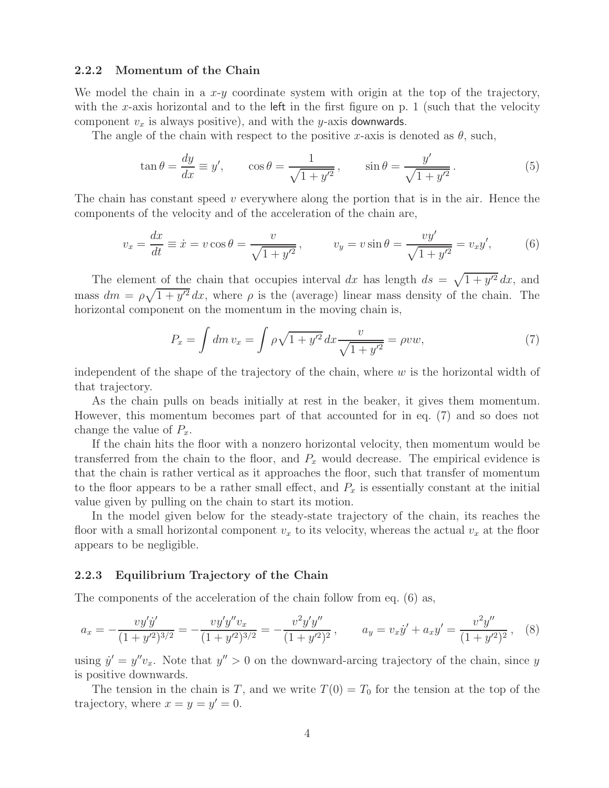#### **2.2.2 Momentum of the Chain**

We model the chain in a  $x-y$  coordinate system with origin at the top of the trajectory, with the x-axis horizontal and to the left in the first figure on p. 1 (such that the velocity component  $v_x$  is always positive), and with the y-axis downwards.

The angle of the chain with respect to the positive x-axis is denoted as  $\theta$ , such,

$$
\tan \theta = \frac{dy}{dx} \equiv y', \qquad \cos \theta = \frac{1}{\sqrt{1 + y'^2}}, \qquad \sin \theta = \frac{y'}{\sqrt{1 + y'^2}}.
$$
\n<sup>(5)</sup>

The chain has constant speed  $v$  everywhere along the portion that is in the air. Hence the components of the velocity and of the acceleration of the chain are,

$$
v_x = \frac{dx}{dt} \equiv \dot{x} = v \cos \theta = \frac{v}{\sqrt{1 + y'^2}}, \qquad v_y = v \sin \theta = \frac{v y'}{\sqrt{1 + y'^2}} = v_x y', \tag{6}
$$

The element of the chain that occupies interval dx has length  $ds = \sqrt{1 + y'^2} dx$ , and mass  $dm = \rho \sqrt{1 + y'^2} dx$ , where  $\rho$  is the (average) linear mass density of the chain. The horizontal component on the momentum in the moving chain is,

$$
P_x = \int dm \, v_x = \int \rho \sqrt{1 + y'^2} \, dx \frac{v}{\sqrt{1 + y'^2}} = \rho v w,\tag{7}
$$

independent of the shape of the trajectory of the chain, where  $w$  is the horizontal width of that trajectory.

As the chain pulls on beads initially at rest in the beaker, it gives them momentum. However, this momentum becomes part of that accounted for in eq. (7) and so does not change the value of  $P_x$ .

If the chain hits the floor with a nonzero horizontal velocity, then momentum would be transferred from the chain to the floor, and  $P_x$  would decrease. The empirical evidence is that the chain is rather vertical as it approaches the floor, such that transfer of momentum to the floor appears to be a rather small effect, and  $P_x$  is essentially constant at the initial value given by pulling on the chain to start its motion.

In the model given below for the steady-state trajectory of the chain, its reaches the floor with a small horizontal component  $v_x$  to its velocity, whereas the actual  $v_x$  at the floor appears to be negligible.

#### **2.2.3 Equilibrium Trajectory of the Chain**

The components of the acceleration of the chain follow from eq. (6) as,

$$
a_x = -\frac{v y' \dot{y}'}{(1+y'^2)^{3/2}} = -\frac{v y' y'' v_x}{(1+y'^2)^{3/2}} = -\frac{v^2 y' y''}{(1+y'^2)^2}, \qquad a_y = v_x \dot{y}' + a_x y' = \frac{v^2 y''}{(1+y'^2)^2}, \quad (8)
$$

using  $\dot{y}' = y''v_x$ . Note that  $y'' > 0$  on the downward-arcing trajectory of the chain, since y is positive downwards.

The tension in the chain is T, and we write  $T(0) = T_0$  for the tension at the top of the trajectory, where  $x = y = y' = 0$ .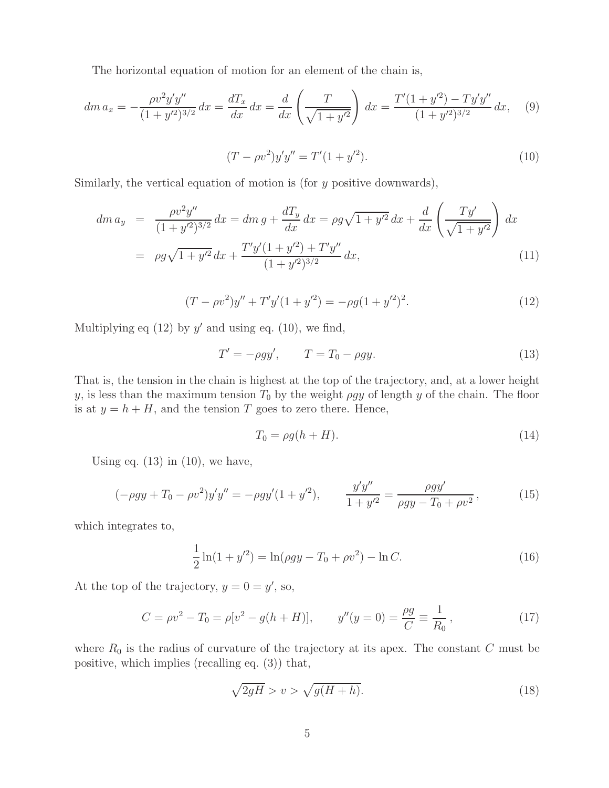The horizontal equation of motion for an element of the chain is,

$$
dm\,a_x = -\frac{\rho v^2 y' y''}{(1+y'^2)^{3/2}}\,dx = \frac{dT_x}{dx}\,dx = \frac{d}{dx}\left(\frac{T}{\sqrt{1+y'^2}}\right)\,dx = \frac{T'(1+y'^2) - Ty'y''}{(1+y'^2)^{3/2}}\,dx,\tag{9}
$$

$$
(T - \rho v^2) y' y'' = T'(1 + y'^2). \tag{10}
$$

Similarly, the vertical equation of motion is (for  $y$  positive downwards),

$$
dm\,a_y = \frac{\rho v^2 y''}{(1 + y'^2)^{3/2}} dx = dm\,g + \frac{dT_y}{dx} dx = \rho g \sqrt{1 + y'^2} dx + \frac{d}{dx} \left(\frac{T y'}{\sqrt{1 + y'^2}}\right) dx
$$

$$
= \rho g \sqrt{1 + y'^2} dx + \frac{T' y'(1 + y'^2) + T' y''}{(1 + y'^2)^{3/2}} dx,
$$
(11)

$$
(T - \rho v^2)y'' + T'y'(1 + y'^2) = -\rho g (1 + y'^2)^2.
$$
 (12)

Multiplying eq  $(12)$  by y' and using eq.  $(10)$ , we find,

$$
T' = -\rho gy', \qquad T = T_0 - \rho gy. \tag{13}
$$

That is, the tension in the chain is highest at the top of the trajectory, and, at a lower height y, is less than the maximum tension  $T_0$  by the weight *ρgy* of length y of the chain. The floor is at  $y = h + H$ , and the tension T goes to zero there. Hence,

$$
T_0 = \rho g (h + H). \tag{14}
$$

Using eq.  $(13)$  in  $(10)$ , we have,

$$
(-\rho gy + T_0 - \rho v^2) y' y'' = -\rho gy'(1 + y'^2), \qquad \frac{y'y''}{1 + y'^2} = \frac{\rho gy'}{\rho gy - T_0 + \rho v^2},
$$
(15)

which integrates to,

$$
\frac{1}{2}\ln(1+y'^2) = \ln(\rho gy - T_0 + \rho v^2) - \ln C.
$$
\n(16)

At the top of the trajectory,  $y = 0 = y'$ , so,

$$
C = \rho v^2 - T_0 = \rho [v^2 - g(h + H)], \qquad y''(y = 0) = \frac{\rho g}{C} \equiv \frac{1}{R_0},\tag{17}
$$

where  $R_0$  is the radius of curvature of the trajectory at its apex. The constant  $C$  must be positive, which implies (recalling eq. (3)) that,

$$
\sqrt{2gH} > v > \sqrt{g(H+h)}.
$$
\n(18)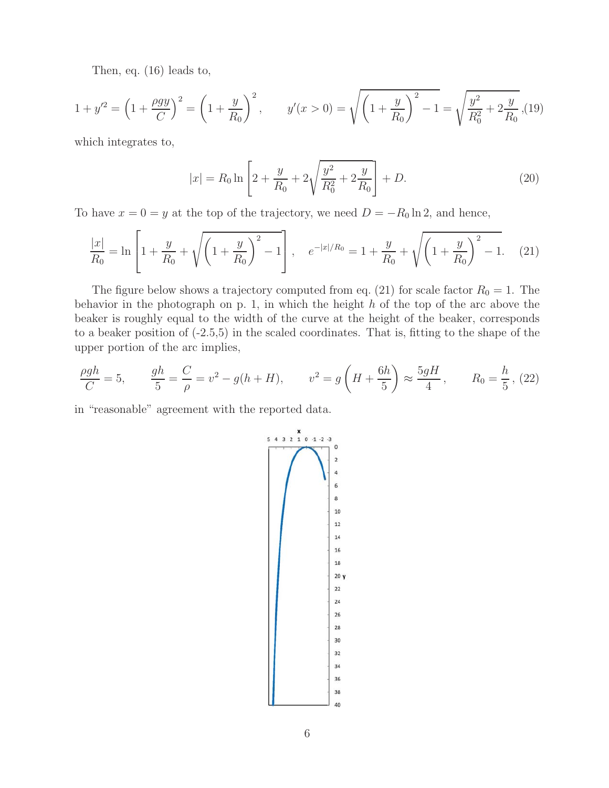Then, eq. (16) leads to,

$$
1 + y'^2 = \left(1 + \frac{\rho gy}{C}\right)^2 = \left(1 + \frac{y}{R_0}\right)^2, \qquad y'(x > 0) = \sqrt{\left(1 + \frac{y}{R_0}\right)^2 - 1} = \sqrt{\frac{y^2}{R_0^2} + 2\frac{y}{R_0}}\tag{19}
$$

which integrates to,

$$
|x| = R_0 \ln \left[ 2 + \frac{y}{R_0} + 2\sqrt{\frac{y^2}{R_0^2} + 2\frac{y}{R_0}} \right] + D. \tag{20}
$$

To have  $x = 0 = y$  at the top of the trajectory, we need  $D = -R_0 \ln 2$ , and hence,

$$
\frac{|x|}{R_0} = \ln\left[1 + \frac{y}{R_0} + \sqrt{\left(1 + \frac{y}{R_0}\right)^2 - 1}\right], \quad e^{-|x|/R_0} = 1 + \frac{y}{R_0} + \sqrt{\left(1 + \frac{y}{R_0}\right)^2 - 1}.\tag{21}
$$

The figure below shows a trajectory computed from eq. (21) for scale factor  $R_0 = 1$ . The behavior in the photograph on p. 1, in which the height  $h$  of the top of the arc above the beaker is roughly equal to the width of the curve at the height of the beaker, corresponds to a beaker position of (-2.5,5) in the scaled coordinates. That is, fitting to the shape of the upper portion of the arc implies,

$$
\frac{\rho gh}{C} = 5, \qquad \frac{gh}{5} = \frac{C}{\rho} = v^2 - g(h+H), \qquad v^2 = g\left(H + \frac{6h}{5}\right) \approx \frac{5gH}{4}, \qquad R_0 = \frac{h}{5}, \tag{22}
$$

in "reasonable" agreement with the reported data.

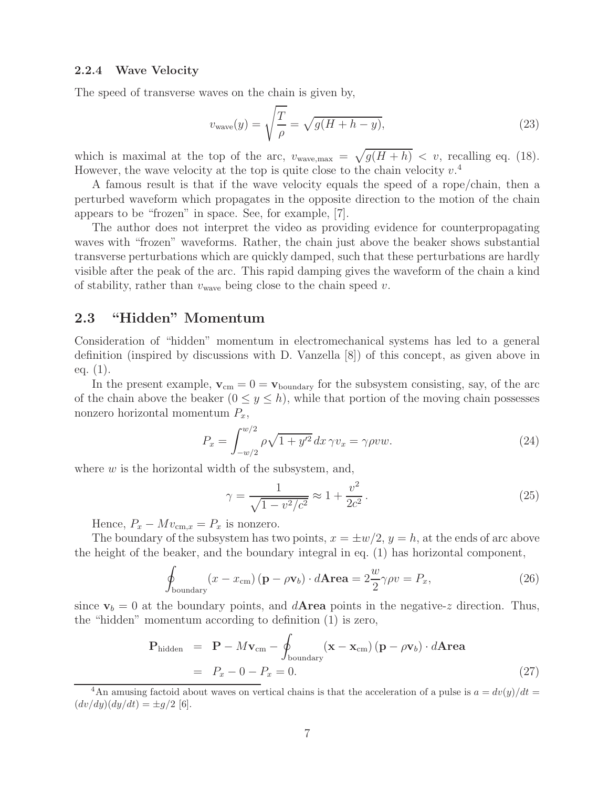#### **2.2.4 Wave Velocity**

The speed of transverse waves on the chain is given by,

$$
v_{\text{wave}}(y) = \sqrt{\frac{T}{\rho}} = \sqrt{g(H + h - y)},\tag{23}
$$

which is maximal at the top of the arc,  $v_{\text{wave,max}} = \sqrt{g(H + h)} < v$ , recalling eq. (18). However, the wave velocity at the top is quite close to the chain velocity  $v^4$ .

A famous result is that if the wave velocity equals the speed of a rope/chain, then a perturbed waveform which propagates in the opposite direction to the motion of the chain appears to be "frozen" in space. See, for example, [7].

The author does not interpret the video as providing evidence for counterpropagating waves with "frozen" waveforms. Rather, the chain just above the beaker shows substantial transverse perturbations which are quickly damped, such that these perturbations are hardly visible after the peak of the arc. This rapid damping gives the waveform of the chain a kind of stability, rather than  $v_{\text{wave}}$  being close to the chain speed v.

### **2.3 "Hidden" Momentum**

Consideration of "hidden" momentum in electromechanical systems has led to a general definition (inspired by discussions with D. Vanzella [8]) of this concept, as given above in eq. (1).

In the present example,  $\mathbf{v}_{cm} = 0 = \mathbf{v}_{\text{boundary}}$  for the subsystem consisting, say, of the arc of the chain above the beaker  $(0 \le y \le h)$ , while that portion of the moving chain possesses nonzero horizontal momentum  $P_x$ ,

$$
P_x = \int_{-w/2}^{w/2} \rho \sqrt{1 + y'^2} \, dx \, \gamma v_x = \gamma \rho v w. \tag{24}
$$

where  $w$  is the horizontal width of the subsystem, and,

$$
\gamma = \frac{1}{\sqrt{1 - v^2/c^2}} \approx 1 + \frac{v^2}{2c^2}.
$$
\n(25)

Hence,  $P_x - Mv_{\text{cm},x} = P_x$  is nonzero.

The boundary of the subsystem has two points,  $x = \pm w/2$ ,  $y = h$ , at the ends of arc above the height of the beaker, and the boundary integral in eq. (1) has horizontal component,

$$
\oint_{\text{boundary}} (x - x_{\text{cm}}) (\mathbf{p} - \rho \mathbf{v}_b) \cdot d\mathbf{Area} = 2 \frac{w}{2} \gamma \rho v = P_x,\tag{26}
$$

since  $v_b = 0$  at the boundary points, and  $d$ **Area** points in the negative-z direction. Thus, the "hidden" momentum according to definition (1) is zero,

$$
\mathbf{P}_{\text{hidden}} = \mathbf{P} - M\mathbf{v}_{\text{cm}} - \oint_{\text{boundary}} (\mathbf{x} - \mathbf{x}_{\text{cm}}) (\mathbf{p} - \rho \mathbf{v}_b) \cdot d\mathbf{Area}
$$
  
=  $P_x - 0 - P_x = 0.$  (27)

<sup>4</sup>An amusing factoid about waves on vertical chains is that the acceleration of a pulse is  $a = dv(y)/dt =$  $(dv/dy)(dy/dt) = \pm g/2$  [6].